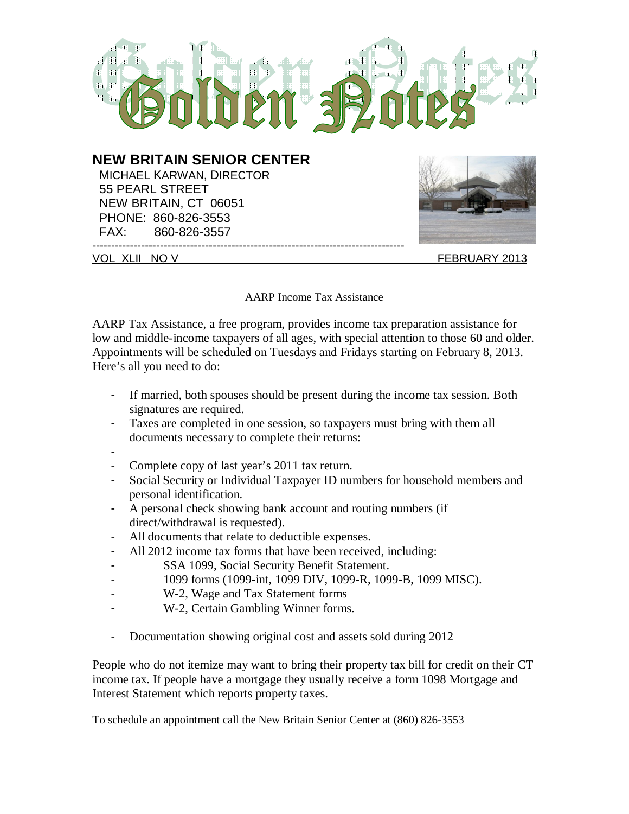

 MICHAEL KARWAN, DIRECTOR 55 PEARL STREET NEW BRITAIN, CT 06051 PHONE: 860-826-3553 FAX: 860-826-3557



-----------------------------------------------------------------------------------

VOL XLII NO V FEBRUARY 2013

### AARP Income Tax Assistance

AARP Tax Assistance, a free program, provides income tax preparation assistance for low and middle-income taxpayers of all ages, with special attention to those 60 and older. Appointments will be scheduled on Tuesdays and Fridays starting on February 8, 2013. Here's all you need to do:

- If married, both spouses should be present during the income tax session. Both signatures are required.
- Taxes are completed in one session, so taxpayers must bring with them all documents necessary to complete their returns:
- -
- Complete copy of last year's 2011 tax return.
- Social Security or Individual Taxpayer ID numbers for household members and personal identification.
- A personal check showing bank account and routing numbers (if direct/withdrawal is requested).
- All documents that relate to deductible expenses.
- All 2012 income tax forms that have been received, including:
- SSA 1099, Social Security Benefit Statement.
- 1099 forms (1099-int, 1099 DIV, 1099-R, 1099-B, 1099 MISC).
- W-2, Wage and Tax Statement forms
- W-2, Certain Gambling Winner forms.
- Documentation showing original cost and assets sold during 2012

People who do not itemize may want to bring their property tax bill for credit on their CT income tax. If people have a mortgage they usually receive a form 1098 Mortgage and Interest Statement which reports property taxes.

To schedule an appointment call the New Britain Senior Center at (860) 826-3553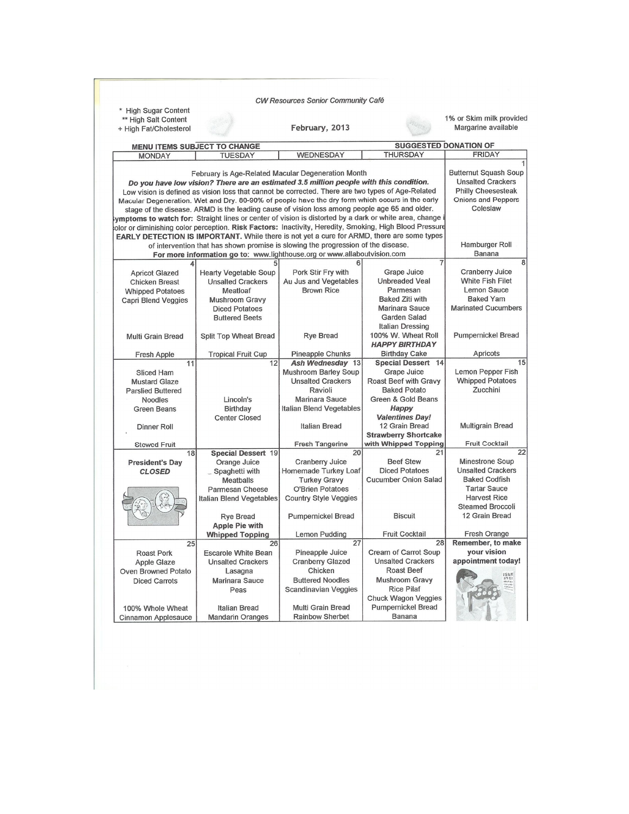| + High Fat/Cholesterol                                                                                  |                                                                                                                                                                                                                                                                                                                                                                                                                                                       | February, 2013                                                                                                                |                                                                                                                                                                                                                   | Margarine available                                                                                                            |  |
|---------------------------------------------------------------------------------------------------------|-------------------------------------------------------------------------------------------------------------------------------------------------------------------------------------------------------------------------------------------------------------------------------------------------------------------------------------------------------------------------------------------------------------------------------------------------------|-------------------------------------------------------------------------------------------------------------------------------|-------------------------------------------------------------------------------------------------------------------------------------------------------------------------------------------------------------------|--------------------------------------------------------------------------------------------------------------------------------|--|
| <b>MENU ITEMS SUBJECT TO CHANGE</b>                                                                     | <b>SUGGESTED DONATION OF</b>                                                                                                                                                                                                                                                                                                                                                                                                                          |                                                                                                                               |                                                                                                                                                                                                                   |                                                                                                                                |  |
| <b>MONDAY</b>                                                                                           | <b>TUESDAY</b>                                                                                                                                                                                                                                                                                                                                                                                                                                        | <b>WEDNESDAY</b>                                                                                                              | <b>THURSDAY</b>                                                                                                                                                                                                   | <b>FRIDAY</b>                                                                                                                  |  |
|                                                                                                         | February is Age-Related Macular Degeneration Month<br>Do you have low vision? There are an estimated 3.5 million people with this condition.<br>Low vision is defined as vision loss that cannot be corrected. There are two types of Age-Related<br>Macular Degeneration. Wet and Dry. 80-90% of people have the dry form which occurs in the early<br>stage of the disease. ARMD is the leading cause of vision loss among people age 65 and older. |                                                                                                                               | ymptoms to watch for: Straight lines or center of vision is distorted by a dark or white area, change i<br>olor or diminishing color perception. Risk Factors: Inactivity, Heredity, Smoking, High Blood Pressure | <b>Butternut Squash Soup</b><br><b>Unsalted Crackers</b><br><b>Philly Cheesesteak</b><br><b>Onions and Peppers</b><br>Coleslaw |  |
| EARLY DETECTION IS IMPORTANT. While there is not yet a cure for ARMD, there are some types              | Hamburger Roll                                                                                                                                                                                                                                                                                                                                                                                                                                        |                                                                                                                               |                                                                                                                                                                                                                   |                                                                                                                                |  |
|                                                                                                         | of intervention that has shown promise is slowing the progression of the disease.<br>For more information go to: www.lighthouse.org or www.allaboutvision.com                                                                                                                                                                                                                                                                                         |                                                                                                                               |                                                                                                                                                                                                                   | Banana                                                                                                                         |  |
|                                                                                                         |                                                                                                                                                                                                                                                                                                                                                                                                                                                       |                                                                                                                               |                                                                                                                                                                                                                   |                                                                                                                                |  |
| <b>Apricot Glazed</b><br><b>Chicken Breast</b><br><b>Whipped Potatoes</b><br><b>Capri Blend Veggies</b> | <b>Hearty Vegetable Soup</b><br><b>Unsalted Crackers</b><br>Meatloaf<br><b>Mushroom Gravy</b><br><b>Diced Potatoes</b><br><b>Buttered Beets</b>                                                                                                                                                                                                                                                                                                       | Pork Stir Fry with<br>Au Jus and Vegetables<br><b>Brown Rice</b>                                                              | Grape Juice<br><b>Unbreaded Veal</b><br>Parmesan<br><b>Baked Ziti with</b><br><b>Marinara Sauce</b><br>Garden Salad                                                                                               | <b>Cranberry Juice</b><br><b>White Fish Filet</b><br>Lemon Sauce<br><b>Baked Yam</b><br><b>Marinated Cucumbers</b>             |  |
| Multi Grain Bread                                                                                       | <b>Split Top Wheat Bread</b>                                                                                                                                                                                                                                                                                                                                                                                                                          | <b>Rye Bread</b>                                                                                                              | <b>Pumpernickel Bread</b>                                                                                                                                                                                         |                                                                                                                                |  |
| Fresh Apple                                                                                             | <b>Tropical Fruit Cup</b>                                                                                                                                                                                                                                                                                                                                                                                                                             | Pineapple Chunks                                                                                                              | <b>Birthday Cake</b>                                                                                                                                                                                              | Apricots                                                                                                                       |  |
| 11<br>Sliced Ham<br><b>Mustard Glaze</b><br><b>Parslied Buttered</b><br>Noodles                         | 12<br>Lincoln's                                                                                                                                                                                                                                                                                                                                                                                                                                       | Ash Wednesday 13<br>Mushroom Barley Soup<br><b>Unsalted Crackers</b><br>Ravioli<br>Marinara Sauce<br>Italian Blend Vegetables | <b>Special Dessert 14</b><br><b>Grape Juice</b><br>Roast Beef with Gravy<br><b>Baked Potato</b><br>Green & Gold Beans                                                                                             | Lemon Pepper Fish<br><b>Whipped Potatoes</b><br>Zucchini                                                                       |  |
| <b>Green Beans</b><br><b>Dinner Roll</b>                                                                | Birthday<br><b>Center Closed</b>                                                                                                                                                                                                                                                                                                                                                                                                                      | Italian Bread                                                                                                                 | Happy<br><b>Valentines Day!</b><br>12 Grain Bread<br><b>Strawberry Shortcake</b>                                                                                                                                  | <b>Multigrain Bread</b>                                                                                                        |  |
| <b>Stewed Fruit</b>                                                                                     |                                                                                                                                                                                                                                                                                                                                                                                                                                                       | <b>Fresh Tangerine</b>                                                                                                        | with Whipped Topping                                                                                                                                                                                              | Fruit Cocktail                                                                                                                 |  |
| 18<br><b>President's Day</b>                                                                            | <b>Special Dessert 19</b><br>Orange Juice                                                                                                                                                                                                                                                                                                                                                                                                             | 20<br><b>Cranberry Juice</b>                                                                                                  | 21<br><b>Beef Stew</b>                                                                                                                                                                                            | <b>Minestrone Soup</b>                                                                                                         |  |
| <b>CLOSED</b>                                                                                           | _ Spaghetti with<br><b>Meatballs</b><br>Parmesan Cheese                                                                                                                                                                                                                                                                                                                                                                                               | Homemade Turkey Loaf<br><b>Turkey Gravy</b><br><b>O'Brien Potatoes</b>                                                        | <b>Diced Potatoes</b><br><b>Cucumber Onion Salad</b>                                                                                                                                                              | <b>Unsalted Crackers</b><br><b>Baked Codfish</b><br><b>Tartar Sauce</b>                                                        |  |
|                                                                                                         | Italian Blend Vegetables<br><b>Rye Bread</b><br><b>Apple Pie with</b>                                                                                                                                                                                                                                                                                                                                                                                 | <b>Country Style Veggies</b><br>Pumpernickel Bread                                                                            | <b>Biscuit</b>                                                                                                                                                                                                    | <b>Harvest Rice</b><br><b>Steamed Broccoli</b><br>12 Grain Bread                                                               |  |
|                                                                                                         | <b>Whipped Topping</b>                                                                                                                                                                                                                                                                                                                                                                                                                                | <b>Lemon Pudding</b>                                                                                                          | <b>Fruit Cocktail</b>                                                                                                                                                                                             | Fresh Orange                                                                                                                   |  |
| 25<br><b>Roast Pork</b><br>Apple Glaze<br>Oven Browned Potato<br><b>Diced Carrots</b>                   | 26<br><b>Escarole White Bean</b><br><b>Unsalted Crackers</b><br>Lasagna<br><b>Marinara Sauce</b><br>Peas                                                                                                                                                                                                                                                                                                                                              | 27<br>Pineapple Juice<br><b>Cranberry Glazed</b><br>Chicken<br><b>Buttered Noodles</b><br>Scandinavian Veggies                | 28<br>Cream of Carrot Soup<br><b>Unsalted Crackers</b><br><b>Roast Beef</b><br><b>Mushroom Gravy</b><br><b>Rice Pilaf</b>                                                                                         | Remember, to make<br>your vision<br>appointment today!<br>118 <sub>5</sub>                                                     |  |
| 100% Whole Wheat<br>Italian Bread<br><b>Mandarin Oranges</b><br>Cinnamon Applesauce                     |                                                                                                                                                                                                                                                                                                                                                                                                                                                       | <b>Multi Grain Bread</b><br><b>Rainbow Sherbet</b>                                                                            | Chuck Wagon Veggies<br><b>Pumpernickel Bread</b><br>Banana                                                                                                                                                        |                                                                                                                                |  |
|                                                                                                         |                                                                                                                                                                                                                                                                                                                                                                                                                                                       |                                                                                                                               |                                                                                                                                                                                                                   |                                                                                                                                |  |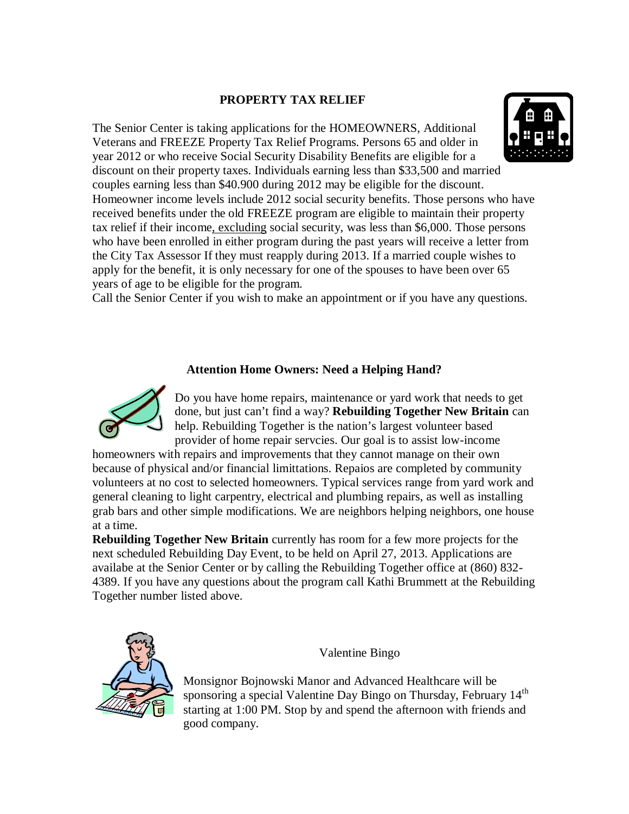## **PROPERTY TAX RELIEF**

The Senior Center is taking applications for the HOMEOWNERS, Additional Veterans and FREEZE Property Tax Relief Programs. Persons 65 and older in year 2012 or who receive Social Security Disability Benefits are eligible for a discount on their property taxes. Individuals earning less than \$33,500 and married couples earning less than \$40.900 during 2012 may be eligible for the discount. Homeowner income levels include 2012 social security benefits. Those persons who have received benefits under the old FREEZE program are eligible to maintain their property tax relief if their income, excluding social security, was less than \$6,000. Those persons who have been enrolled in either program during the past years will receive a letter from the City Tax Assessor If they must reapply during 2013. If a married couple wishes to apply for the benefit, it is only necessary for one of the spouses to have been over 65 years of age to be eligible for the program.

Call the Senior Center if you wish to make an appointment or if you have any questions.

## **Attention Home Owners: Need a Helping Hand?**



Do you have home repairs, maintenance or yard work that needs to get done, but just can't find a way? **Rebuilding Together New Britain** can help. Rebuilding Together is the nation's largest volunteer based provider of home repair servcies. Our goal is to assist low-income

homeowners with repairs and improvements that they cannot manage on their own because of physical and/or financial limittations. Repaios are completed by community volunteers at no cost to selected homeowners. Typical services range from yard work and general cleaning to light carpentry, electrical and plumbing repairs, as well as installing grab bars and other simple modifications. We are neighbors helping neighbors, one house at a time.

**Rebuilding Together New Britain** currently has room for a few more projects for the next scheduled Rebuilding Day Event, to be held on April 27, 2013. Applications are availabe at the Senior Center or by calling the Rebuilding Together office at (860) 832- 4389. If you have any questions about the program call Kathi Brummett at the Rebuilding Together number listed above.



Valentine Bingo

Monsignor Bojnowski Manor and Advanced Healthcare will be sponsoring a special Valentine Day Bingo on Thursday, February 14<sup>th</sup> starting at 1:00 PM. Stop by and spend the afternoon with friends and good company.

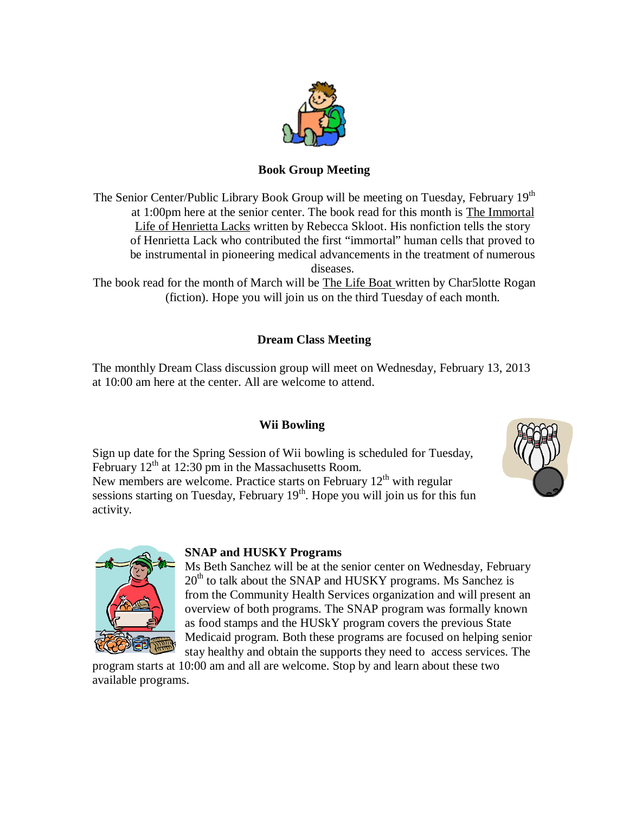

# **Book Group Meeting**

The Senior Center/Public Library Book Group will be meeting on Tuesday, February 19<sup>th</sup> at 1:00pm here at the senior center. The book read for this month is The Immortal Life of Henrietta Lacks written by Rebecca Skloot. His nonfiction tells the story of Henrietta Lack who contributed the first "immortal" human cells that proved to be instrumental in pioneering medical advancements in the treatment of numerous diseases.

The book read for the month of March will be The Life Boat written by Char5lotte Rogan (fiction). Hope you will join us on the third Tuesday of each month.

# **Dream Class Meeting**

The monthly Dream Class discussion group will meet on Wednesday, February 13, 2013 at 10:00 am here at the center. All are welcome to attend.

## **Wii Bowling**

Sign up date for the Spring Session of Wii bowling is scheduled for Tuesday, February  $12<sup>th</sup>$  at  $12:30$  pm in the Massachusetts Room. New members are welcome. Practice starts on February  $12<sup>th</sup>$  with regular sessions starting on Tuesday, February  $19<sup>th</sup>$ . Hope you will join us for this fun activity.





## **SNAP and HUSKY Programs**

Ms Beth Sanchez will be at the senior center on Wednesday, February  $20<sup>th</sup>$  to talk about the SNAP and HUSKY programs. Ms Sanchez is from the Community Health Services organization and will present an overview of both programs. The SNAP program was formally known as food stamps and the HUSkY program covers the previous State Medicaid program. Both these programs are focused on helping senior stay healthy and obtain the supports they need to access services. The

program starts at 10:00 am and all are welcome. Stop by and learn about these two available programs.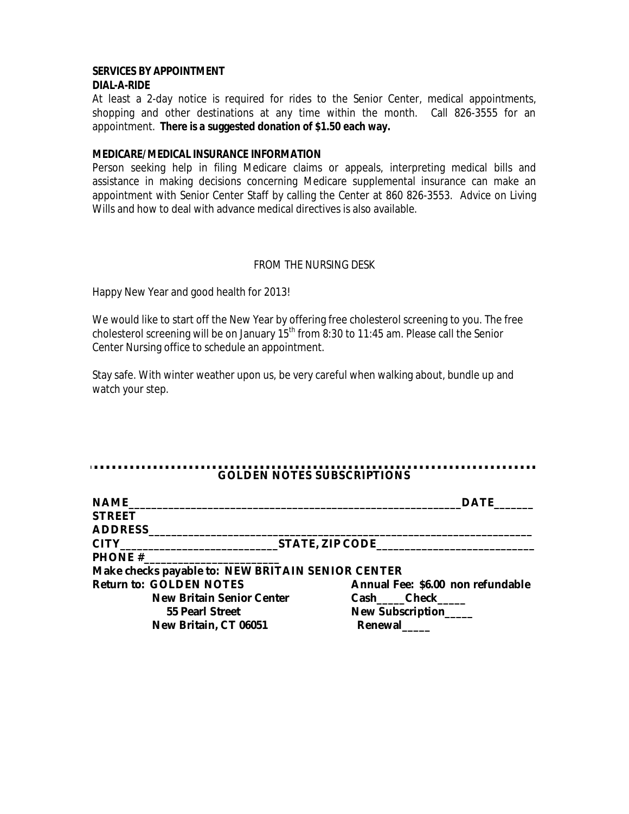#### **SERVICES BY APPOINTMENT DIAL-A-RIDE**

At least a 2-day notice is required for rides to the Senior Center, medical appointments, shopping and other destinations at any time within the month. Call 826-3555 for an appointment. **There is a suggested donation of \$1.50 each way.**

#### **MEDICARE/MEDICAL INSURANCE INFORMATION**

Person seeking help in filing Medicare claims or appeals, interpreting medical bills and assistance in making decisions concerning Medicare supplemental insurance can make an appointment with Senior Center Staff by calling the Center at 860 826-3553. Advice on Living Wills and how to deal with advance medical directives is also available.

#### FROM THE NURSING DESK

Happy New Year and good health for 2013!

We would like to start off the New Year by offering free cholesterol screening to you. The free cholesterol screening will be on January  $15<sup>th</sup>$  from 8:30 to 11:45 am. Please call the Senior Center Nursing office to schedule an appointment.

Stay safe. With winter weather upon us, be very careful when walking about, bundle up and watch your step.

#### . . . . . . . . . . . . . . . . . . . **GOLDEN NOTES SUBSCRIPTIONS**

| <b>NAME</b>                                       | <b>DATE</b>                       |
|---------------------------------------------------|-----------------------------------|
| <b>STREET</b>                                     |                                   |
| <b>ADDRESS</b>                                    |                                   |
|                                                   |                                   |
|                                                   |                                   |
| Make checks payable to: NEW BRITAIN SENIOR CENTER |                                   |
| <b>Return to: GOLDEN NOTES</b>                    | Annual Fee: \$6.00 non refundable |
| <b>New Britain Senior Center</b>                  | Cash Check                        |
| 55 Pearl Street                                   | New Subscription____              |
| New Britain, CT 06051                             | Renewal                           |